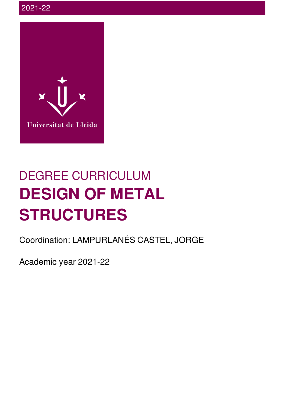

# DEGREE CURRICULUM **DESIGN OF METAL STRUCTURES**

Coordination: LAMPURLANÉS CASTEL, JORGE

Academic year 2021-22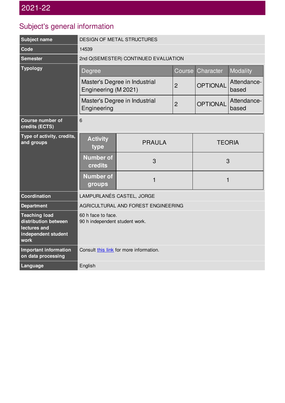## Subject's general information

| Subject name                                                                                | DESIGN OF METAL STRUCTURES                            |               |                |                 |                      |  |  |
|---------------------------------------------------------------------------------------------|-------------------------------------------------------|---------------|----------------|-----------------|----------------------|--|--|
| Code                                                                                        | 14539                                                 |               |                |                 |                      |  |  |
| <b>Semester</b>                                                                             | 2nd Q(SEMESTER) CONTINUED EVALUATION                  |               |                |                 |                      |  |  |
| <b>Typology</b>                                                                             | <b>Degree</b>                                         |               | Course         | Character       | Modality             |  |  |
|                                                                                             | Master's Degree in Industrial<br>Engineering (M 2021) |               | $\overline{2}$ | <b>OPTIONAL</b> | Attendance-<br>based |  |  |
|                                                                                             | Master's Degree in Industrial<br>Engineering          |               | $\overline{2}$ | <b>OPTIONAL</b> | Attendance-<br>based |  |  |
| Course number of<br>credits (ECTS)                                                          | 6                                                     |               |                |                 |                      |  |  |
| Type of activity, credits,<br>and groups                                                    | <b>Activity</b><br>type                               | <b>PRAULA</b> |                | <b>TEORIA</b>   |                      |  |  |
|                                                                                             | <b>Number of</b><br>credits                           | 3             |                | 3               |                      |  |  |
|                                                                                             | <b>Number of</b><br>groups                            | $\mathbf{1}$  |                | $\mathbf{1}$    |                      |  |  |
| Coordination                                                                                | LAMPURLANÉS CASTEL, JORGE                             |               |                |                 |                      |  |  |
| <b>Department</b>                                                                           | AGRICULTURAL AND FOREST ENGINEERING                   |               |                |                 |                      |  |  |
| <b>Teaching load</b><br>distribution between<br>lectures and<br>independent student<br>work | 60 h face to face.<br>90 h independent student work.  |               |                |                 |                      |  |  |
| Important information<br>on data processing                                                 | Consult this link for more information.               |               |                |                 |                      |  |  |
| Language                                                                                    | English                                               |               |                |                 |                      |  |  |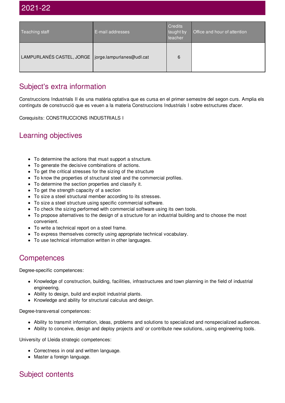| Teaching staff                                        | E-mail addresses | <b>Credits</b><br>taught by<br>teacher | Office and hour of attention |
|-------------------------------------------------------|------------------|----------------------------------------|------------------------------|
| LAMPURLANÉS CASTEL, JORGE   jorge.lampurlanes@udl.cat |                  | 6                                      |                              |

## Subject's extra information

Construccions Industrials II és una matèria optativa que es cursa en el primer semestre del segon curs. Amplia els continguts de construcció que es veuen a la materia Construccions Industrials I sobre estructures d'acer.

Corequisits: CONSTRUCCIONS INDUSTRIALS I

#### Learning objectives

- To determine the actions that must support a structure.
- To generate the decisive combinations of actions.
- To get the critical stresses for the sizing of the structure
- To know the properties of structural steel and the commercial profiles.
- To determine the section properties and classify it.
- To get the strength capacity of a section
- To size a steel structural member according to its stresses.
- To size a steel structure using specific commercial software.
- To check the sizing performed with commercial software using its own tools.
- To propose alternatives to the design of a structure for an industrial building and to choose the most convenient.
- To write a technical report on a steel frame.
- To express themselves correctly using appropriate technical vocabulary.
- To use technical information written in other languages.

#### **Competences**

Degree-specific competences:

- Knowledge of construction, building, facilities, infrastructures and town planning in the field of industrial engineering.
- Ability to design, build and exploit industrial plants.
- Knowledge and ability for structural calculus and design.

Degree-transversal competences:

- Ability to transmit information, ideas, problems and solutions to specialized and nonspecialized audiences.
- Ability to conceive, design and deploy projects and/ or contribute new solutions, using engineering tools.

University of Lleida strategic competences:

- Correctness in oral and written language.
- Master a foreign language.

#### Subject contents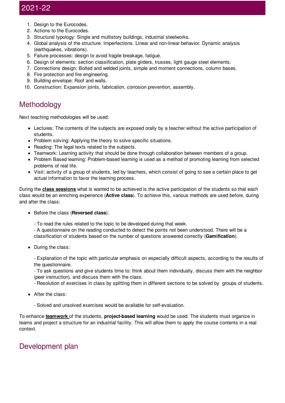## 2021-22

- 1. Design to the Eurocodes.
- 2. Actions to the Eurocodes.
- 3. Structural typology: Single and multistory buildings, industrial steelworks.
- 4. Global analysis of the structure: Imperfections. Linear and non-linear behavior. Dynamic analysis (earthquakes, vibrations).
- 5. Failure processes: design to avoid fragile breakage, fatigue.
- 6. Design of elements: section classification, plate girders, trusses, light gauge steel elements.
- 7. Connections design: Bolted and welded joints, simple and moment connections, column bases.
- 8. Fire protection and fire engineering.
- 9. Building envelope: Roof and walls.
- 10. Construction: Expansion joints, fabrication, corrosion prevention, assembly.

#### Methodology

Next teaching methodologies will be used:

- Lectures: The contents of the subjects are exposed orally by a teacher without the active participation of students.
- Problem solving: Applying the theory to solve specific situations.
- Reading: The legal texts related to the subjects.
- Teamwork: Learning activity that should be done through collaboration between members of a group.
- Problem Based learning: Problem-based learning is used as a method of promoting learning from selected problems of real life.
- Visit: activity of a group of students, led by teachers, which consist of going to see a certain place to get actual information to favor the learning process.

During the **class sessions** what is wanted to be achieved is the active participation of the students so that each class would be an enriching experience (**Active class**). To achieve this, various methods are used before, during and after the class:

- Before the class (**Reversed class**):
	- To read the rules related to the topic to be developed during that week.
	- A questionnaire on the reading conducted to detect the points not been understood. There will be a classification of students based on the number of questions answered correctly (**Gamification**).
- During the class:

- Explanation of the topic with particular emphasis on especially difficult aspects, according to the results of the questionnaire.

- To ask questions and give students time to: think about them individually, discuss them with the neighbor (peer instruction), and discuss them with the class.

- Resolution of exercises in class by splitting them in different sections to be solved by groups of students.

- After the class:
	- Solved and unsolved exercises would be available for self-evaluation.

To enhance **teamwork** of the students, **project-based learning** would be used. The students must organize in teams and project a structure for an industrial facility. This will allow them to apply the course contents in a real context.

#### Development plan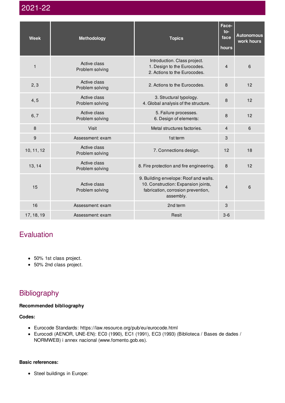2021-22

| <b>Week</b>  | <b>Methodology</b>              | <b>Topics</b>                                                                                                                   | Face-<br>to-<br>face<br>hours | <b>Autonomous</b><br>work hours |
|--------------|---------------------------------|---------------------------------------------------------------------------------------------------------------------------------|-------------------------------|---------------------------------|
| $\mathbf{1}$ | Active class<br>Problem solving | Introduction. Class project.<br>1. Design to the Eurocodes.<br>2. Actions to the Eurocodes.                                     | $\overline{4}$                | 6                               |
| 2, 3         | Active class<br>Problem solving | 2. Actions to the Eurocodes.                                                                                                    | 8                             | 12                              |
| 4, 5         | Active class<br>Problem solving | 3. Structural typology.<br>4. Global analysis of the structure.                                                                 | 8                             | 12                              |
| 6, 7         | Active class<br>Problem solving | 5. Failure processes.<br>6. Design of elements:                                                                                 | 8                             | 12                              |
| 8            | <b>Visit</b>                    | Metal structures factories.                                                                                                     | $\overline{4}$                | 6                               |
| 9            | Assessment: exam                | 1st term                                                                                                                        | 3                             |                                 |
| 10, 11, 12   | Active class<br>Problem solving | 7. Connections design.                                                                                                          | 12                            | 18                              |
| 13, 14       | Active class<br>Problem solving | 8. Fire protection and fire engineering.                                                                                        | 8                             | 12                              |
| 15           | Active class<br>Problem solving | 9. Building envelope: Roof and walls.<br>10. Construction: Expansion joints,<br>fabrication, corrosion prevention,<br>assembly. |                               | 6                               |
| 16           | Assessment: exam                | 2nd term                                                                                                                        | 3                             |                                 |
| 17, 18, 19   | Assessment: exam                | Resit                                                                                                                           | $3-6$                         |                                 |

## Evaluation

- 50% 1st class project.
- 50% 2nd class project.

## Bibliography

#### **Recommended bibliography**

**Codes:**

- Eurocode Standards: https://law.resource.org/pub/eu/eurocode.html
- Eurocodi (AENOR, UNE-EN): EC0 (1990), EC1 (1991), EC3 (1993) (Biblioteca / Bases de dades / NORMWEB) i annex nacional (www.fomento.gob.es).

#### **Basic references:**

Steel buildings in Europe: